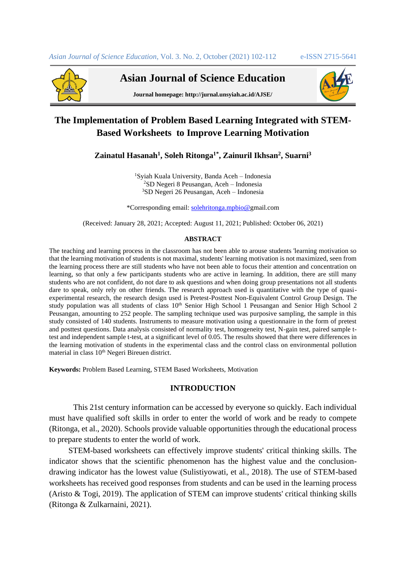

**Asian Journal of Science Education**

**Journal homepage: http://jurnal.unsyiah.ac.id/AJSE/**



# **The Implementation of Problem Based Learning Integrated with STEM-**

# **Based Worksheets to Improve Learning Motivation**

**Zainatul Hasanah<sup>1</sup> , Soleh Ritonga1\* , Zainuril Ikhsan<sup>2</sup> , Suarni<sup>3</sup>**

<sup>1</sup>Syiah Kuala University, Banda Aceh – Indonesia <sup>2</sup>SD Negeri 8 Peusangan, Aceh – Indonesia <sup>3</sup>SD Negeri 26 Peusangan, Aceh – Indonesia

\*Corresponding email: [solehritonga.mpbio@g](mailto:solehritonga.mpbio@)mail.com

(Received: January 28, 2021; Accepted: August 11, 2021; Published: October 06, 2021)

#### **ABSTRACT**

The teaching and learning process in the classroom has not been able to arouse students 'learning motivation so that the learning motivation of students is not maximal, students' learning motivation is not maximized, seen from the learning process there are still students who have not been able to focus their attention and concentration on learning, so that only a few participants students who are active in learning. In addition, there are still many students who are not confident, do not dare to ask questions and when doing group presentations not all students dare to speak, only rely on other friends. The research approach used is quantitative with the type of quasiexperimental research, the research design used is Pretest-Posttest Non-Equivalent Control Group Design. The study population was all students of class 10<sup>th</sup> Senior High School 1 Peusangan and Senior High School 2 Peusangan, amounting to 252 people. The sampling technique used was purposive sampling, the sample in this study consisted of 140 students. Instruments to measure motivation using a questionnaire in the form of pretest and posttest questions. Data analysis consisted of normality test, homogeneity test, N-gain test, paired sample ttest and independent sample t-test, at a significant level of 0.05. The results showed that there were differences in the learning motivation of students in the experimental class and the control class on environmental pollution material in class 10<sup>th</sup> Negeri Bireuen district.

**Keywords:** Problem Based Learning, STEM Based Worksheets, Motivation

# **INTRODUCTION**

This 21st century information can be accessed by everyone so quickly. Each individual must have qualified soft skills in order to enter the world of work and be ready to compete (Ritonga, et al., 2020). Schools provide valuable opportunities through the educational process to prepare students to enter the world of work.

STEM-based worksheets can effectively improve students' critical thinking skills. The indicator shows that the scientific phenomenon has the highest value and the conclusiondrawing indicator has the lowest value (Sulistiyowati, et al., 2018). The use of STEM-based worksheets has received good responses from students and can be used in the learning process (Aristo & Togi, 2019). The application of STEM can improve students' critical thinking skills (Ritonga & Zulkarnaini, 2021).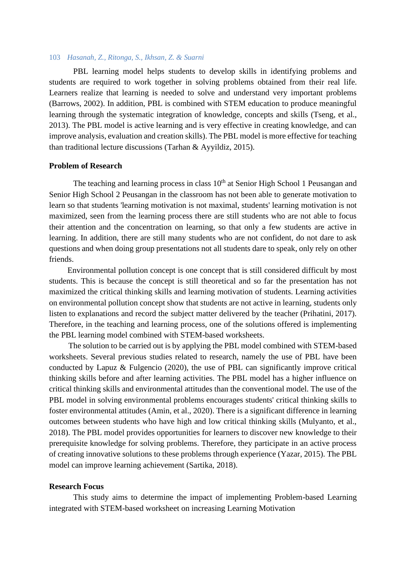# 103 *Hasanah, Z., Ritonga, S., Ikhsan, Z. & Suarni*

PBL learning model helps students to develop skills in identifying problems and students are required to work together in solving problems obtained from their real life. Learners realize that learning is needed to solve and understand very important problems (Barrows, 2002). In addition, PBL is combined with STEM education to produce meaningful learning through the systematic integration of knowledge, concepts and skills (Tseng, et al., 2013). The PBL model is active learning and is very effective in creating knowledge, and can improve analysis, evaluation and creation skills). The PBL model is more effective for teaching than traditional lecture discussions (Tarhan & Ayyildiz, 2015).

# **Problem of Research**

The teaching and learning process in class  $10<sup>th</sup>$  at Senior High School 1 Peusangan and Senior High School 2 Peusangan in the classroom has not been able to generate motivation to learn so that students 'learning motivation is not maximal, students' learning motivation is not maximized, seen from the learning process there are still students who are not able to focus their attention and the concentration on learning, so that only a few students are active in learning. In addition, there are still many students who are not confident, do not dare to ask questions and when doing group presentations not all students dare to speak, only rely on other friends.

Environmental pollution concept is one concept that is still considered difficult by most students. This is because the concept is still theoretical and so far the presentation has not maximized the critical thinking skills and learning motivation of students. Learning activities on environmental pollution concept show that students are not active in learning, students only listen to explanations and record the subject matter delivered by the teacher (Prihatini, 2017). Therefore, in the teaching and learning process, one of the solutions offered is implementing the PBL learning model combined with STEM-based worksheets.

The solution to be carried out is by applying the PBL model combined with STEM-based worksheets. Several previous studies related to research, namely the use of PBL have been conducted by Lapuz & Fulgencio (2020), the use of PBL can significantly improve critical thinking skills before and after learning activities. The PBL model has a higher influence on critical thinking skills and environmental attitudes than the conventional model. The use of the PBL model in solving environmental problems encourages students' critical thinking skills to foster environmental attitudes (Amin, et al., 2020). There is a significant difference in learning outcomes between students who have high and low critical thinking skills (Mulyanto, et al., 2018). The PBL model provides opportunities for learners to discover new knowledge to their prerequisite knowledge for solving problems. Therefore, they participate in an active process of creating innovative solutions to these problems through experience (Yazar, 2015). The PBL model can improve learning achievement (Sartika, 2018).

#### **Research Focus**

This study aims to determine the impact of implementing Problem-based Learning integrated with STEM-based worksheet on increasing Learning Motivation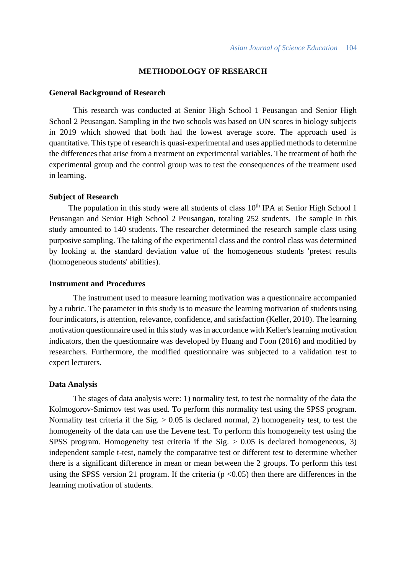# **METHODOLOGY OF RESEARCH**

#### **General Background of Research**

This research was conducted at Senior High School 1 Peusangan and Senior High School 2 Peusangan. Sampling in the two schools was based on UN scores in biology subjects in 2019 which showed that both had the lowest average score. The approach used is quantitative. This type of research is quasi-experimental and uses applied methods to determine the differences that arise from a treatment on experimental variables. The treatment of both the experimental group and the control group was to test the consequences of the treatment used in learning.

#### **Subject of Research**

The population in this study were all students of class  $10<sup>th</sup>$  IPA at Senior High School 1 Peusangan and Senior High School 2 Peusangan, totaling 252 students. The sample in this study amounted to 140 students. The researcher determined the research sample class using purposive sampling. The taking of the experimental class and the control class was determined by looking at the standard deviation value of the homogeneous students 'pretest results (homogeneous students' abilities).

#### **Instrument and Procedures**

The instrument used to measure learning motivation was a questionnaire accompanied by a rubric. The parameter in this study is to measure the learning motivation of students using four indicators, is attention, relevance, confidence, and satisfaction (Keller, 2010). The learning motivation questionnaire used in this study was in accordance with Keller's learning motivation indicators, then the questionnaire was developed by Huang and Foon (2016) and modified by researchers. Furthermore, the modified questionnaire was subjected to a validation test to expert lecturers.

#### **Data Analysis**

The stages of data analysis were: 1) normality test, to test the normality of the data the Kolmogorov-Smirnov test was used. To perform this normality test using the SPSS program. Normality test criteria if the  $Sig. > 0.05$  is declared normal, 2) homogeneity test, to test the homogeneity of the data can use the Levene test. To perform this homogeneity test using the SPSS program. Homogeneity test criteria if the Sig.  $> 0.05$  is declared homogeneous, 3) independent sample t-test, namely the comparative test or different test to determine whether there is a significant difference in mean or mean between the 2 groups. To perform this test using the SPSS version 21 program. If the criteria  $(p \le 0.05)$  then there are differences in the learning motivation of students.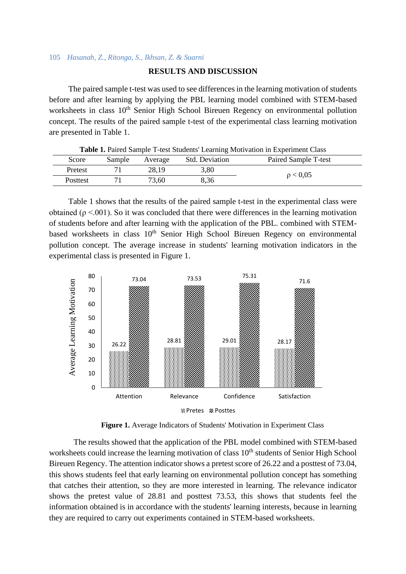# 105 *Hasanah, Z., Ritonga, S., Ikhsan, Z. & Suarni*

# **RESULTS AND DISCUSSION**

The paired sample t-test was used to see differences in the learning motivation of students before and after learning by applying the PBL learning model combined with STEM-based worksheets in class 10<sup>th</sup> Senior High School Bireuen Regency on environmental pollution concept. The results of the paired sample t-test of the experimental class learning motivation are presented in Table 1.

| Twore It I allow Dailiple I was beautened Equilibrity interference in Emperiment Chase |        |         |                       |                      |  |  |
|----------------------------------------------------------------------------------------|--------|---------|-----------------------|----------------------|--|--|
| Score                                                                                  | Sample | Average | <b>Std. Deviation</b> | Paired Sample T-test |  |  |
| Pretest                                                                                |        | 28,19   | 3.80                  |                      |  |  |
| Posttest                                                                               |        | 73.60   | 8.36                  | $\rho < 0.05$        |  |  |

**Table 1.** Paired Sample T-test Students' Learning Motivation in Experiment Class

Table 1 shows that the results of the paired sample t-test in the experimental class were obtained ( $\rho \leq 001$ ). So it was concluded that there were differences in the learning motivation of students before and after learning with the application of the PBL. combined with STEMbased worksheets in class 10<sup>th</sup> Senior High School Bireuen Regency on environmental pollution concept. The average increase in students' learning motivation indicators in the experimental class is presented in Figure 1.





The results showed that the application of the PBL model combined with STEM-based worksheets could increase the learning motivation of class 10<sup>th</sup> students of Senior High School Bireuen Regency. The attention indicator shows a pretest score of 26.22 and a posttest of 73.04, this shows students feel that early learning on environmental pollution concept has something that catches their attention, so they are more interested in learning. The relevance indicator shows the pretest value of 28.81 and posttest 73.53, this shows that students feel the information obtained is in accordance with the students' learning interests, because in learning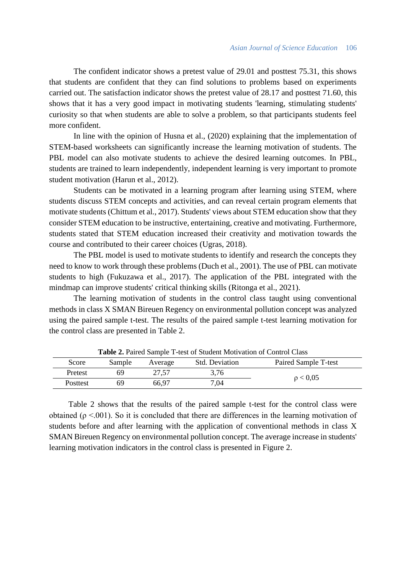The confident indicator shows a pretest value of 29.01 and posttest 75.31, this shows that students are confident that they can find solutions to problems based on experiments carried out. The satisfaction indicator shows the pretest value of 28.17 and posttest 71.60, this shows that it has a very good impact in motivating students 'learning, stimulating students' curiosity so that when students are able to solve a problem, so that participants students feel more confident.

In line with the opinion of Husna et al., (2020) explaining that the implementation of STEM-based worksheets can significantly increase the learning motivation of students. The PBL model can also motivate students to achieve the desired learning outcomes. In PBL, students are trained to learn independently, independent learning is very important to promote student motivation (Harun et al., 2012).

Students can be motivated in a learning program after learning using STEM, where students discuss STEM concepts and activities, and can reveal certain program elements that motivate students (Chittum et al., 2017). Students' views about STEM education show that they consider STEM education to be instructive, entertaining, creative and motivating. Furthermore, students stated that STEM education increased their creativity and motivation towards the course and contributed to their career choices (Ugras, 2018).

The PBL model is used to motivate students to identify and research the concepts they need to know to work through these problems (Duch et al., 2001). The use of PBL can motivate students to high (Fukuzawa et al., 2017). The application of the PBL integrated with the mindmap can improve students' critical thinking skills (Ritonga et al., 2021).

The learning motivation of students in the control class taught using conventional methods in class X SMAN Bireuen Regency on environmental pollution concept was analyzed using the paired sample t-test. The results of the paired sample t-test learning motivation for the control class are presented in Table 2.

| <b>Table 2.</b> I alleg Balliple 1-wat of Buggeth Mottvallon of Control Class |        |         |                       |                      |  |
|-------------------------------------------------------------------------------|--------|---------|-----------------------|----------------------|--|
| Score                                                                         | Sample | Average | <b>Std. Deviation</b> | Paired Sample T-test |  |
| Pretest                                                                       | 69     | 27.57   | 3.76                  |                      |  |
| Posttest                                                                      |        | 66.97   | 7.04                  | $\rho < 0.05$        |  |

**Table 2.** Paired Sample T-test of Student Motivation of Control Class

Table 2 shows that the results of the paired sample t-test for the control class were obtained ( $\rho$  <.001). So it is concluded that there are differences in the learning motivation of students before and after learning with the application of conventional methods in class X SMAN Bireuen Regency on environmental pollution concept. The average increase in students' learning motivation indicators in the control class is presented in Figure 2.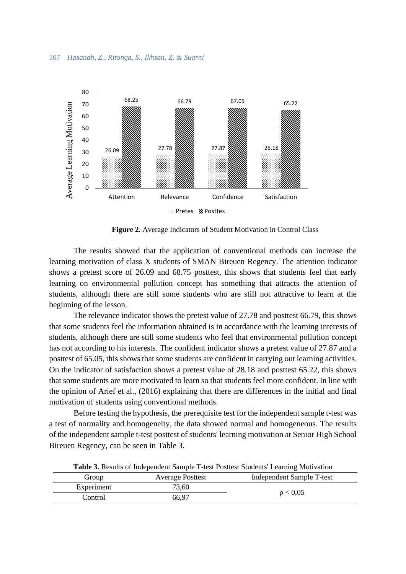

**Figure 2**. Average Indicators of Student Motivation in Control Class

The results showed that the application of conventional methods can increase the learning motivation of class X students of SMAN Bireuen Regency. The attention indicator shows a pretest score of 26.09 and 68.75 posttest, this shows that students feel that early learning on environmental pollution concept has something that attracts the attention of students, although there are still some students who are still not attractive to learn at the beginning of the lesson.

The relevance indicator shows the pretest value of 27.78 and posttest 66.79, this shows that some students feel the information obtained is in accordance with the learning interests of students, although there are still some students who feel that environmental pollution concept has not according to his interests. The confident indicator shows a pretest value of 27.87 and a posttest of 65.05, this shows that some students are confident in carrying out learning activities. On the indicator of satisfaction shows a pretest value of 28.18 and posttest 65.22, this shows that some students are more motivated to learn so that students feel more confident. In line with the opinion of Arief et al., (2016) explaining that there are differences in the initial and final motivation of students using conventional methods.

Before testing the hypothesis, the prerequisite test for the independent sample t-test was a test of normality and homogeneity, the data showed normal and homogeneous. The results of the independent sample t-test posttest of students' learning motivation at Senior High School Bireuen Regency, can be seen in Table 3.

| Group      | <b>Average Posttest</b> | Independent Sample T-test |
|------------|-------------------------|---------------------------|
| Experiment | 73,60                   | $\rho < 0.05$             |
| Control    | 66.97                   |                           |

**Table 3**. Results of Independent Sample T-test Posttest Students' Learning Motivation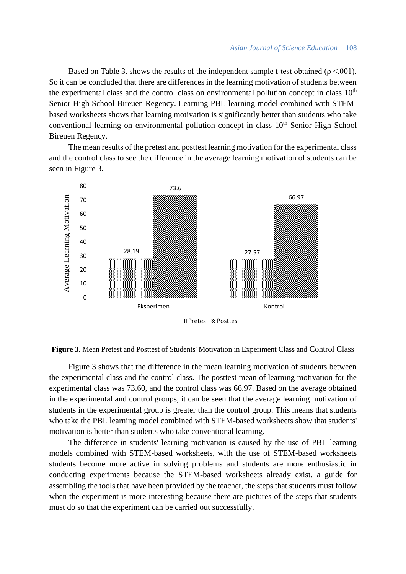Based on Table 3. shows the results of the independent sample t-test obtained ( $\rho < .001$ ). So it can be concluded that there are differences in the learning motivation of students between the experimental class and the control class on environmental pollution concept in class  $10<sup>th</sup>$ Senior High School Bireuen Regency. Learning PBL learning model combined with STEMbased worksheets shows that learning motivation is significantly better than students who take conventional learning on environmental pollution concept in class  $10<sup>th</sup>$  Senior High School Bireuen Regency.

The mean results of the pretest and posttest learning motivation for the experimental class and the control class to see the difference in the average learning motivation of students can be seen in Figure 3.





Figure 3 shows that the difference in the mean learning motivation of students between the experimental class and the control class. The posttest mean of learning motivation for the experimental class was 73.60, and the control class was 66.97. Based on the average obtained in the experimental and control groups, it can be seen that the average learning motivation of students in the experimental group is greater than the control group. This means that students who take the PBL learning model combined with STEM-based worksheets show that students' motivation is better than students who take conventional learning.

The difference in students' learning motivation is caused by the use of PBL learning models combined with STEM-based worksheets, with the use of STEM-based worksheets students become more active in solving problems and students are more enthusiastic in conducting experiments because the STEM-based worksheets already exist. a guide for assembling the tools that have been provided by the teacher, the steps that students must follow when the experiment is more interesting because there are pictures of the steps that students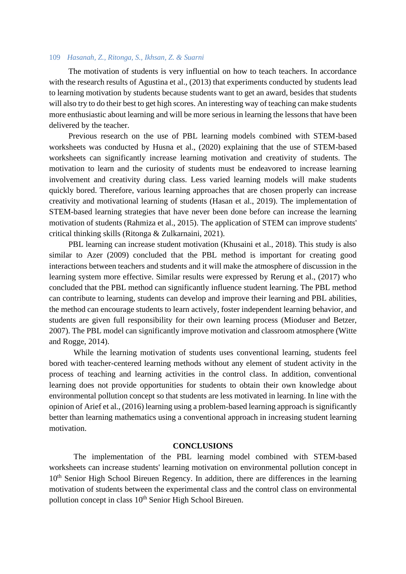# 109 *Hasanah, Z., Ritonga, S., Ikhsan, Z. & Suarni*

The motivation of students is very influential on how to teach teachers. In accordance with the research results of Agustina et al., (2013) that experiments conducted by students lead to learning motivation by students because students want to get an award, besides that students will also try to do their best to get high scores. An interesting way of teaching can make students more enthusiastic about learning and will be more serious in learning the lessons that have been delivered by the teacher.

Previous research on the use of PBL learning models combined with STEM-based worksheets was conducted by Husna et al., (2020) explaining that the use of STEM-based worksheets can significantly increase learning motivation and creativity of students. The motivation to learn and the curiosity of students must be endeavored to increase learning involvement and creativity during class. Less varied learning models will make students quickly bored. Therefore, various learning approaches that are chosen properly can increase creativity and motivational learning of students (Hasan et al., 2019). The implementation of STEM-based learning strategies that have never been done before can increase the learning motivation of students (Rahmiza et al., 2015). The application of STEM can improve students' critical thinking skills (Ritonga & Zulkarnaini, 2021).

PBL learning can increase student motivation (Khusaini et al., 2018). This study is also similar to Azer (2009) concluded that the PBL method is important for creating good interactions between teachers and students and it will make the atmosphere of discussion in the learning system more effective. Similar results were expressed by Rerung et al., (2017) who concluded that the PBL method can significantly influence student learning. The PBL method can contribute to learning, students can develop and improve their learning and PBL abilities, the method can encourage students to learn actively, foster independent learning behavior, and students are given full responsibility for their own learning process (Mioduser and Betzer, 2007). The PBL model can significantly improve motivation and classroom atmosphere (Witte and Rogge, 2014).

While the learning motivation of students uses conventional learning, students feel bored with teacher-centered learning methods without any element of student activity in the process of teaching and learning activities in the control class. In addition, conventional learning does not provide opportunities for students to obtain their own knowledge about environmental pollution concept so that students are less motivated in learning. In line with the opinion of Arief et al., (2016) learning using a problem-based learning approach is significantly better than learning mathematics using a conventional approach in increasing student learning motivation.

# **CONCLUSIONS**

The implementation of the PBL learning model combined with STEM-based worksheets can increase students' learning motivation on environmental pollution concept in 10<sup>th</sup> Senior High School Bireuen Regency. In addition, there are differences in the learning motivation of students between the experimental class and the control class on environmental pollution concept in class 10<sup>th</sup> Senior High School Bireuen.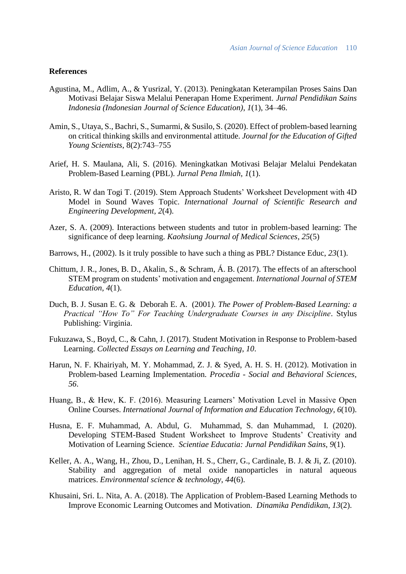# **References**

- Agustina, M., Adlim, A., & Yusrizal, Y. (2013). Peningkatan Keterampilan Proses Sains Dan Motivasi Belajar Siswa Melalui Penerapan Home Experiment. *Jurnal Pendidikan Sains Indonesia (Indonesian Journal of Science Education)*, *1*(1), 34–46.
- Amin, S., Utaya, S., Bachri, S., Sumarmi, & Susilo, S. (2020). Effect of problem-based learning on critical thinking skills and environmental attitude. *Journal for the Education of Gifted Young Scientists*, 8(2):743–755
- Arief, H. S. Maulana, Ali, S. (2016). Meningkatkan Motivasi Belajar Melalui Pendekatan Problem-Based Learning (PBL). *Jurnal Pena Ilmiah*, *1*(1).
- Aristo, R. W dan Togi T. (2019). Stem Approach Students' Worksheet Development with 4D Model in Sound Waves Topic. *International Journal of Scientific Research and Engineering Development, 2*(4).
- Azer, S. A. (2009). Interactions between students and tutor in problem-based learning: The significance of deep learning. *Kaohsiung Journal of Medical Sciences*, *25*(5)
- Barrows, H., (2002). Is it truly possible to have such a thing as PBL? Distance Educ, *23*(1).
- Chittum, J. R., Jones, B. D., Akalin, S., & Schram, Á. B. (2017). The effects of an afterschool STEM program on students' motivation and engagement. *International Journal of STEM Education*, *4*(1).
- Duch, B. J. Susan E. G. & Deborah E. A. (2001*). The Power of Problem-Based Learning: a Practical "How To" For Teaching Undergraduate Courses in any Discipline*. Stylus Publishing: Virginia.
- Fukuzawa, S., Boyd, C., & Cahn, J. (2017). Student Motivation in Response to Problem-based Learning. *Collected Essays on Learning and Teaching*, *10*.
- Harun, N. F. Khairiyah, M. Y. Mohammad, Z. J. & Syed, A. H. S. H. (2012). Motivation in Problem-based Learning Implementation. *Procedia - Social and Behavioral Sciences, 56*.
- Huang, B., & Hew, K. F. (2016). Measuring Learners' Motivation Level in Massive Open Online Courses. *International Journal of Information and Education Technology*, *6*(10).
- Husna, E. F. Muhammad, A. Abdul, G. Muhammad, S. dan Muhammad, I. (2020). Developing STEM-Based Student Worksheet to Improve Students' Creativity and Motivation of Learning Science. *Scientiae Educatia: Jurnal Pendidikan Sains*, *9*(1).
- Keller, A. A., Wang, H., Zhou, D., Lenihan, H. S., Cherr, G., Cardinale, B. J. & Ji, Z. (2010). Stability and aggregation of metal oxide nanoparticles in natural aqueous matrices. *Environmental science & technology*, *44*(6).
- Khusaini, Sri. L. Nita, A. A. (2018). The Application of Problem-Based Learning Methods to Improve Economic Learning Outcomes and Motivation. *Dinamika Pendidika*n, *13*(2).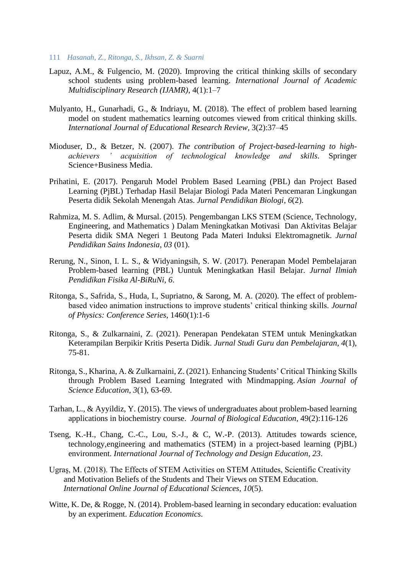- 111 *Hasanah, Z., Ritonga, S., Ikhsan, Z. & Suarni*
- Lapuz, A.M., & Fulgencio, M. (2020). Improving the critical thinking skills of secondary school students using problem-based learning. *International Journal of Academic Multidisciplinary Research (IJAMR)*, 4(1):1–7
- Mulyanto, H., Gunarhadi, G., & Indriayu, M. (2018). The effect of problem based learning model on student mathematics learning outcomes viewed from critical thinking skills. *International Journal of Educational Research Review*, 3(2):37–45
- Mioduser, D., & Betzer, N. (2007). *The contribution of Project-based-learning to highachievers ' acquisition of technological knowledge and skills*. Springer Science+Business Media.
- Prihatini, E. (2017). Pengaruh Model Problem Based Learning (PBL) dan Project Based Learning (PjBL) Terhadap Hasil Belajar Biologi Pada Materi Pencemaran Lingkungan Peserta didik Sekolah Menengah Atas. *Jurnal Pendidikan Biologi*, *6*(2).
- Rahmiza, M. S. Adlim, & Mursal. (2015). Pengembangan LKS STEM (Science, Technology, Engineering, and Mathematics ) Dalam Meningkatkan Motivasi Dan Aktivitas Belajar Peserta didik SMA Negeri 1 Beutong Pada Materi Induksi Elektromagnetik. *Jurnal Pendidikan Sains Indonesia*, *03* (01).
- Rerung, N., Sinon, I. L. S., & Widyaningsih, S. W. (2017). Penerapan Model Pembelajaran Problem-based learning (PBL) Uuntuk Meningkatkan Hasil Belajar. *Jurnal Ilmiah Pendidikan Fisika Al-BiRuNi*, *6*.
- Ritonga, S., Safrida, S., Huda, I., Supriatno, & Sarong, M. A. (2020). The effect of problembased video animation instructions to improve students' critical thinking skills. *Journal of Physics: Conference Series*, 1460(1):1-6
- Ritonga, S., & Zulkarnaini, Z. (2021). Penerapan Pendekatan STEM untuk Meningkatkan Keterampilan Berpikir Kritis Peserta Didik. *Jurnal Studi Guru dan Pembelajaran*, *4*(1), 75-81.
- Ritonga, S., Kharina, A. & Zulkarnaini, Z. (2021). Enhancing Students' Critical Thinking Skills through Problem Based Learning Integrated with Mindmapping. *Asian Journal of Science Education*, *3*(1), 63-69.
- Tarhan, L., & Ayyildiz, Y. (2015). The views of undergraduates about problem-based learning applications in biochemistry course. *Journal of Biological Education*, 49(2):116-126
- Tseng, K.-H., Chang, C.-C., Lou, S.-J., & C, W.-P. (2013). Attitudes towards science, technology,engineering and mathematics (STEM) in a project-based learning (PjBL) environment. *International Journal of Technology and Design Education*, *23*.
- Ugraş, M. (2018). The Effects of STEM Activities on STEM Attitudes, Scientific Creativity and Motivation Beliefs of the Students and Their Views on STEM Education. *International Online Journal of Educational Sciences*, *10*(5).
- Witte, K. De, & Rogge, N. (2014). Problem-based learning in secondary education: evaluation by an experiment. *Education Economics*.